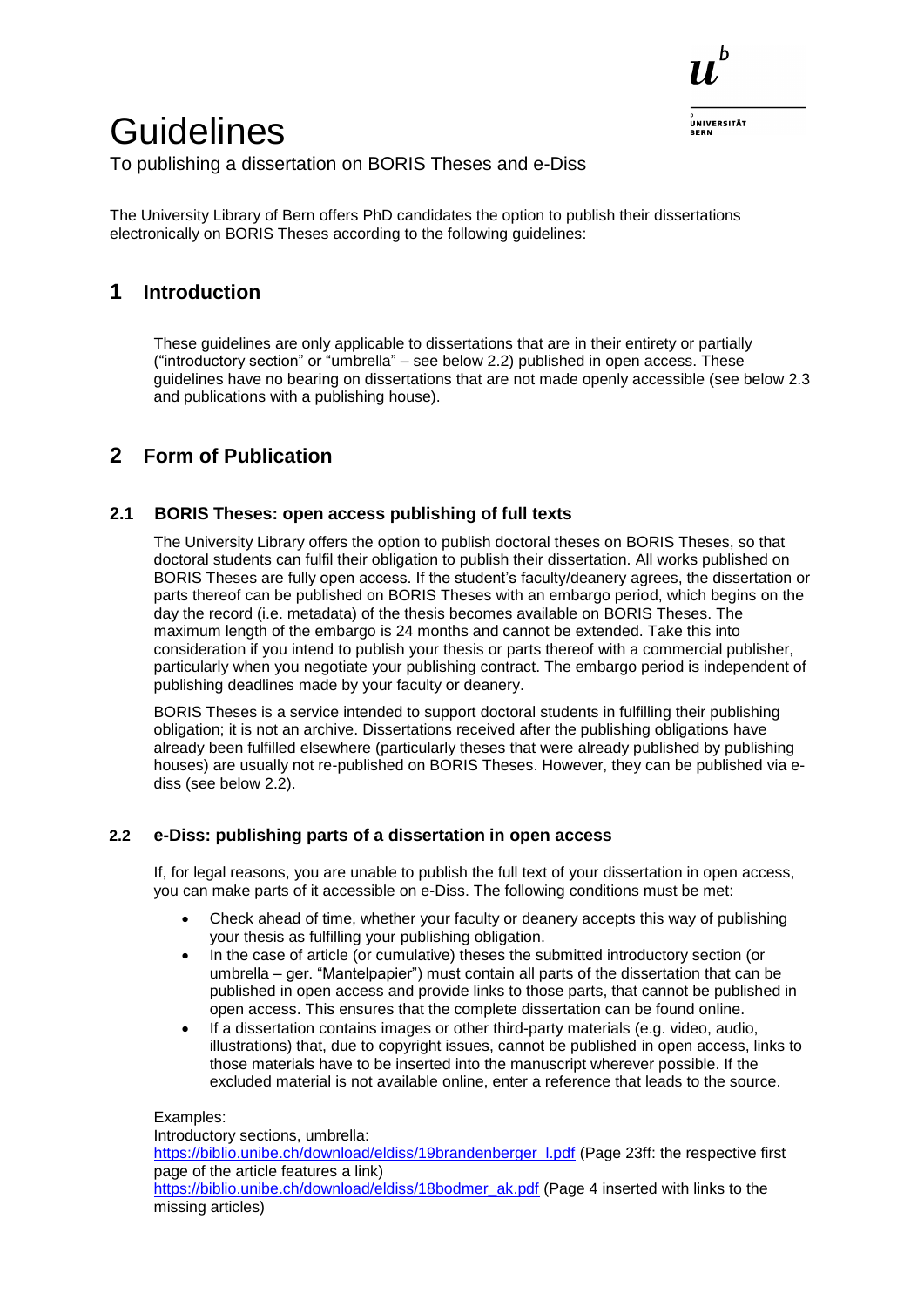

# **Guidelines**

To publishing a dissertation on BORIS Theses and e-Diss

The University Library of Bern offers PhD candidates the option to publish their dissertations electronically on BORIS Theses according to the following guidelines:

# **1 Introduction**

These guidelines are only applicable to dissertations that are in their entirety or partially ("introductory section" or "umbrella" – see below 2.2) published in open access. These guidelines have no bearing on dissertations that are not made openly accessible (see below 2.3 and publications with a publishing house).

# **2 Form of Publication**

## **2.1 BORIS Theses: open access publishing of full texts**

The University Library offers the option to publish doctoral theses on BORIS Theses, so that doctoral students can fulfil their obligation to publish their dissertation. All works published on BORIS Theses are fully open access. If the student's faculty/deanery agrees, the dissertation or parts thereof can be published on BORIS Theses with an embargo period, which begins on the day the record (i.e. metadata) of the thesis becomes available on BORIS Theses. The maximum length of the embargo is 24 months and cannot be extended. Take this into consideration if you intend to publish your thesis or parts thereof with a commercial publisher, particularly when you negotiate your publishing contract. The embargo period is independent of publishing deadlines made by your faculty or deanery.

BORIS Theses is a service intended to support doctoral students in fulfilling their publishing obligation; it is not an archive. Dissertations received after the publishing obligations have already been fulfilled elsewhere (particularly theses that were already published by publishing houses) are usually not re-published on BORIS Theses. However, they can be published via ediss (see below 2.2).

#### **2.2 e-Diss: publishing parts of a dissertation in open access**

If, for legal reasons, you are unable to publish the full text of your dissertation in open access, you can make parts of it accessible on e-Diss. The following conditions must be met:

- Check ahead of time, whether your faculty or deanery accepts this way of publishing your thesis as fulfilling your publishing obligation.
- In the case of article (or cumulative) theses the submitted introductory section (or umbrella – ger. "Mantelpapier") must contain all parts of the dissertation that can be published in open access and provide links to those parts, that cannot be published in open access. This ensures that the complete dissertation can be found online.
- If a dissertation contains images or other third-party materials (e.g. video, audio, illustrations) that, due to copyright issues, cannot be published in open access, links to those materials have to be inserted into the manuscript wherever possible. If the excluded material is not available online, enter a reference that leads to the source.

#### Examples:

Introductory sections, umbrella: [https://biblio.unibe.ch/download/eldiss/19brandenberger\\_l.pdf](https://biblio.unibe.ch/download/eldiss/19brandenberger_l.pdf) (Page 23ff: the respective first page of the article features a link) [https://biblio.unibe.ch/download/eldiss/18bodmer\\_ak.pdf](https://biblio.unibe.ch/download/eldiss/18bodmer_ak.pdf) (Page 4 inserted with links to the missing articles)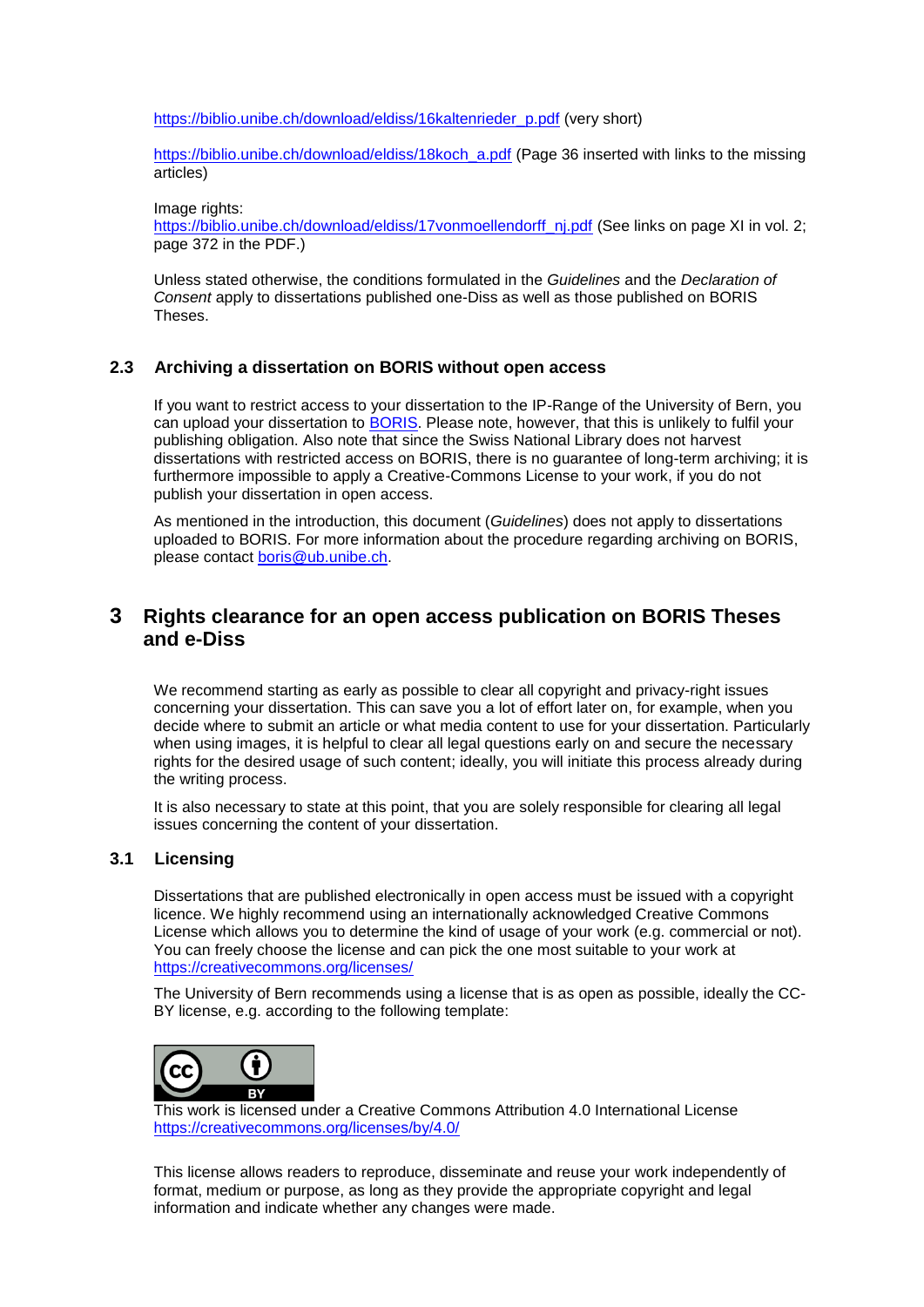[https://biblio.unibe.ch/download/eldiss/16kaltenrieder\\_p.pdf](https://biblio.unibe.ch/download/eldiss/16kaltenrieder_p.pdf) (very short)

[https://biblio.unibe.ch/download/eldiss/18koch\\_a.pdf](https://biblio.unibe.ch/download/eldiss/18koch_a.pdf) (Page 36 inserted with links to the missing articles)

Image rights:

[https://biblio.unibe.ch/download/eldiss/17vonmoellendorff\\_nj.pdf](https://biblio.unibe.ch/download/eldiss/17vonmoellendorff_nj.pdf) (See links on page XI in vol. 2; page 372 in the PDF.)

Unless stated otherwise, the conditions formulated in the *Guidelines* and the *Declaration of Consent* apply to dissertations published one-Diss as well as those published on BORIS Theses.

#### **2.3 Archiving a dissertation on BORIS without open access**

If you want to restrict access to your dissertation to the IP-Range of the University of Bern, you can upload your dissertation to [BORIS.](https://boris.unibe.ch/) Please note, however, that this is unlikely to fulfil your publishing obligation. Also note that since the Swiss National Library does not harvest dissertations with restricted access on BORIS, there is no guarantee of long-term archiving; it is furthermore impossible to apply a Creative-Commons License to your work, if you do not publish your dissertation in open access.

As mentioned in the introduction, this document (*Guidelines*) does not apply to dissertations uploaded to BORIS. For more information about the procedure regarding archiving on BORIS, please contact [boris@ub.unibe.ch.](mailto:boris@ub.unibe.ch)

# **3 Rights clearance for an open access publication on BORIS Theses and e-Diss**

We recommend starting as early as possible to clear all copyright and privacy-right issues concerning your dissertation. This can save you a lot of effort later on, for example, when you decide where to submit an article or what media content to use for your dissertation. Particularly when using images, it is helpful to clear all legal questions early on and secure the necessary rights for the desired usage of such content; ideally, you will initiate this process already during the writing process.

It is also necessary to state at this point, that you are solely responsible for clearing all legal issues concerning the content of your dissertation.

#### **3.1 Licensing**

Dissertations that are published electronically in open access must be issued with a copyright licence. We highly recommend using an internationally acknowledged Creative Commons License which allows you to determine the kind of usage of your work (e.g. commercial or not). You can freely choose the license and can pick the one most suitable to your work at <https://creativecommons.org/licenses/>

The University of Bern recommends using a license that is as open as possible, ideally the CC-BY license, e.g. according to the following template:



This work is licensed under a Creative Commons Attribution 4.0 International License <https://creativecommons.org/licenses/by/4.0/>

This license allows readers to reproduce, disseminate and reuse your work independently of format, medium or purpose, as long as they provide the appropriate copyright and legal information and indicate whether any changes were made.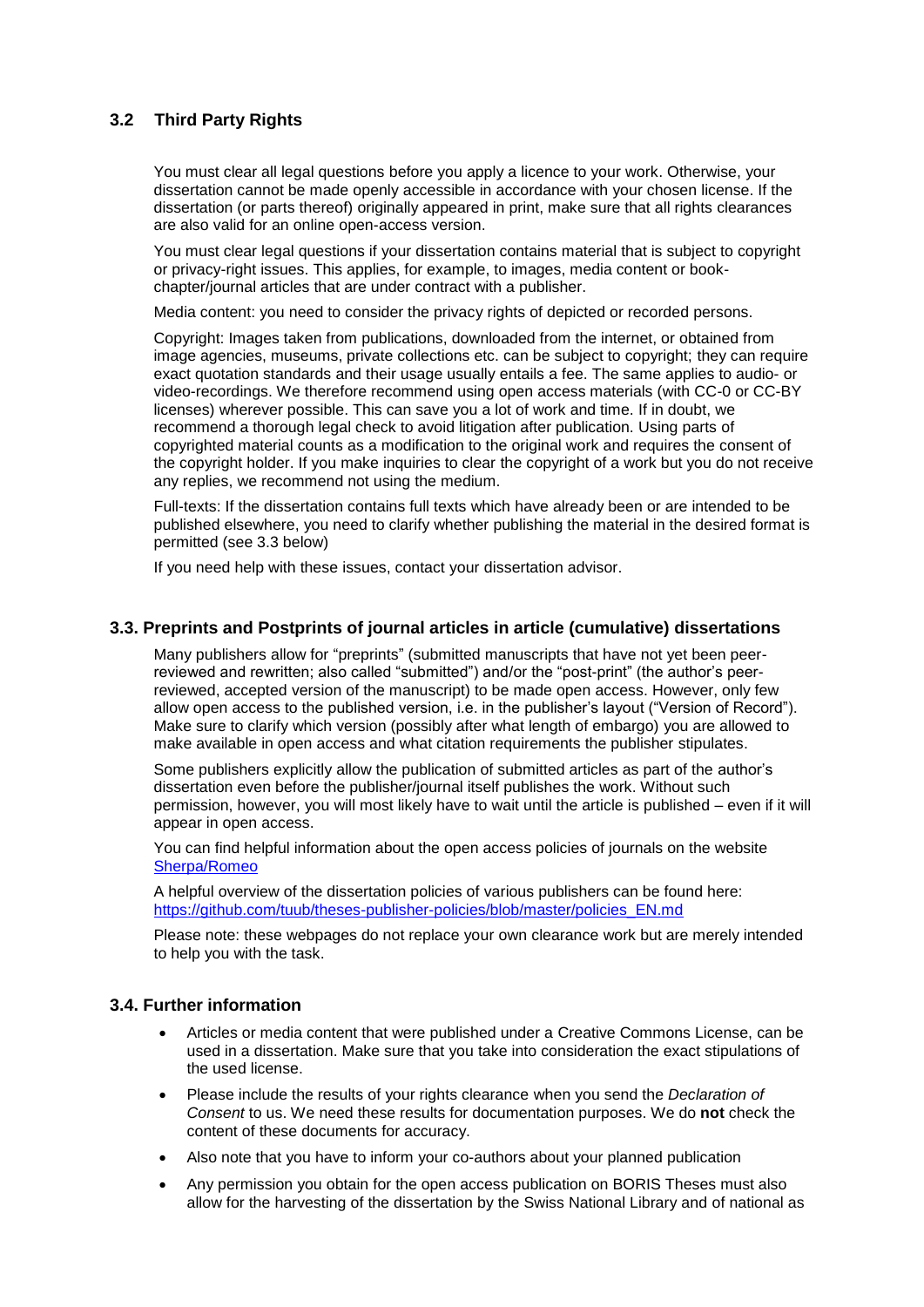## **3.2 Third Party Rights**

You must clear all legal questions before you apply a licence to your work. Otherwise, your dissertation cannot be made openly accessible in accordance with your chosen license. If the dissertation (or parts thereof) originally appeared in print, make sure that all rights clearances are also valid for an online open-access version.

You must clear legal questions if your dissertation contains material that is subject to copyright or privacy-right issues. This applies, for example, to images, media content or bookchapter/journal articles that are under contract with a publisher.

Media content: you need to consider the privacy rights of depicted or recorded persons.

Copyright: Images taken from publications, downloaded from the internet, or obtained from image agencies, museums, private collections etc. can be subject to copyright; they can require exact quotation standards and their usage usually entails a fee. The same applies to audio- or video-recordings. We therefore recommend using open access materials (with CC-0 or CC-BY licenses) wherever possible. This can save you a lot of work and time. If in doubt, we recommend a thorough legal check to avoid litigation after publication. Using parts of copyrighted material counts as a modification to the original work and requires the consent of the copyright holder. If you make inquiries to clear the copyright of a work but you do not receive any replies, we recommend not using the medium.

Full-texts: If the dissertation contains full texts which have already been or are intended to be published elsewhere, you need to clarify whether publishing the material in the desired format is permitted (see 3.3 below)

If you need help with these issues, contact your dissertation advisor.

#### **3.3. Preprints and Postprints of journal articles in article (cumulative) dissertations**

Many publishers allow for "preprints" (submitted manuscripts that have not yet been peerreviewed and rewritten; also called "submitted") and/or the "post-print" (the author's peerreviewed, accepted version of the manuscript) to be made open access. However, only few allow open access to the published version, i.e. in the publisher's layout ("Version of Record"). Make sure to clarify which version (possibly after what length of embargo) you are allowed to make available in open access and what citation requirements the publisher stipulates.

Some publishers explicitly allow the publication of submitted articles as part of the author's dissertation even before the publisher/journal itself publishes the work. Without such permission, however, you will most likely have to wait until the article is published – even if it will appear in open access.

You can find helpful information about the open access policies of journals on the website [Sherpa/Romeo](https://v2.sherpa.ac.uk/romeo/)

A helpful overview of the dissertation policies of various publishers can be found here: [https://github.com/tuub/theses-publisher-policies/blob/master/policies\\_EN.md](https://github.com/tuub/theses-publisher-policies/blob/master/policies_EN.md)

Please note: these webpages do not replace your own clearance work but are merely intended to help you with the task.

#### **3.4. Further information**

- Articles or media content that were published under a Creative Commons License, can be used in a dissertation. Make sure that you take into consideration the exact stipulations of the used license.
- Please include the results of your rights clearance when you send the *Declaration of Consent* to us. We need these results for documentation purposes. We do **not** check the content of these documents for accuracy.
- Also note that you have to inform your co-authors about your planned publication
- Any permission you obtain for the open access publication on BORIS Theses must also allow for the harvesting of the dissertation by the Swiss National Library and of national as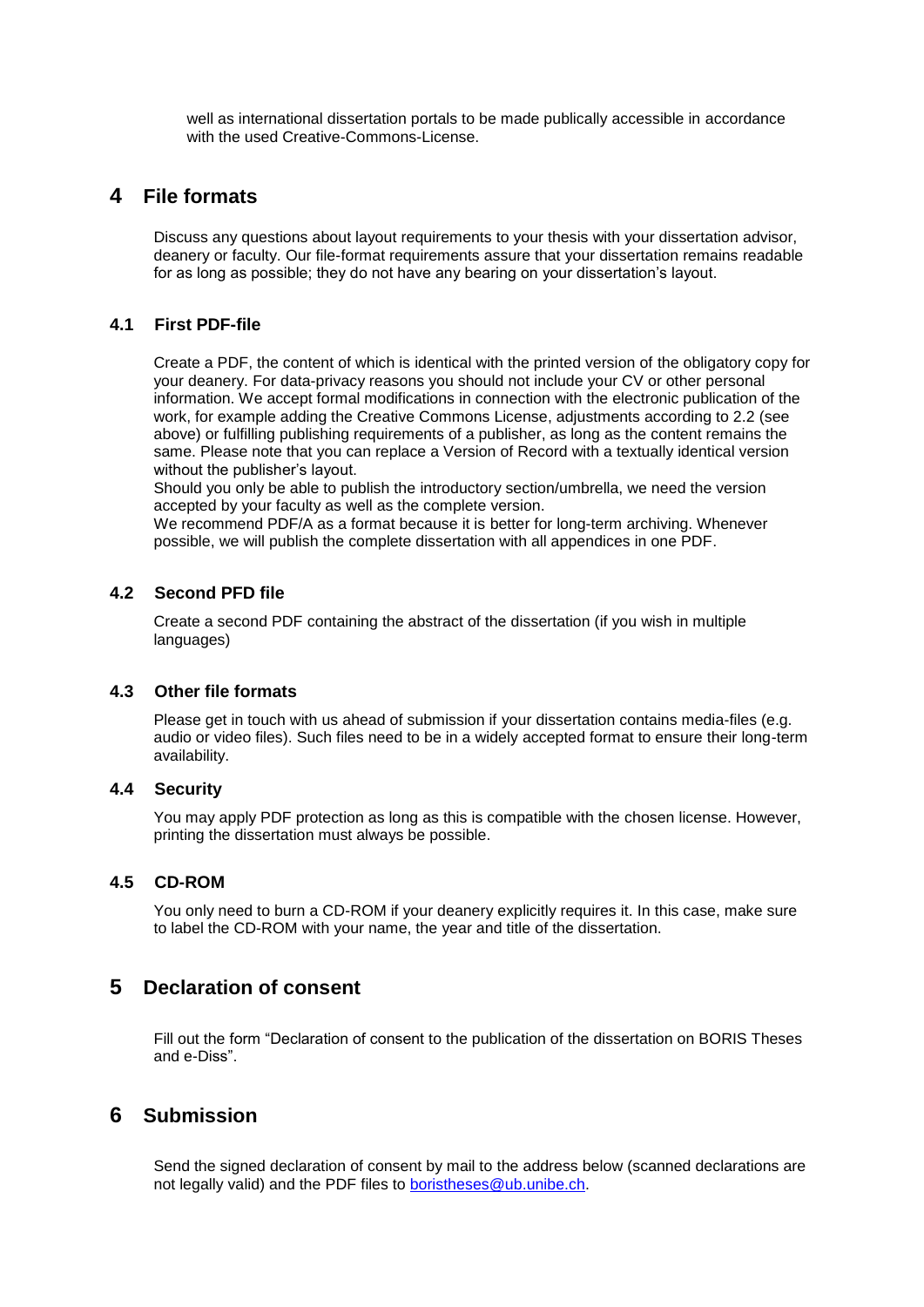well as international dissertation portals to be made publically accessible in accordance with the used Creative-Commons-License.

## **4 File formats**

Discuss any questions about layout requirements to your thesis with your dissertation advisor, deanery or faculty. Our file-format requirements assure that your dissertation remains readable for as long as possible; they do not have any bearing on your dissertation's layout.

#### **4.1 First PDF-file**

Create a PDF, the content of which is identical with the printed version of the obligatory copy for your deanery. For data-privacy reasons you should not include your CV or other personal information. We accept formal modifications in connection with the electronic publication of the work, for example adding the Creative Commons License, adjustments according to 2.2 (see above) or fulfilling publishing requirements of a publisher, as long as the content remains the same. Please note that you can replace a Version of Record with a textually identical version without the publisher's layout.

Should you only be able to publish the introductory section/umbrella, we need the version accepted by your faculty as well as the complete version.

We recommend PDF/A as a format because it is better for long-term archiving. Whenever possible, we will publish the complete dissertation with all appendices in one PDF.

#### **4.2 Second PFD file**

Create a second PDF containing the abstract of the dissertation (if you wish in multiple languages)

#### **4.3 Other file formats**

Please get in touch with us ahead of submission if your dissertation contains media-files (e.g. audio or video files). Such files need to be in a widely accepted format to ensure their long-term availability.

#### **4.4 Security**

You may apply PDF protection as long as this is compatible with the chosen license. However, printing the dissertation must always be possible.

#### **4.5 CD-ROM**

You only need to burn a CD-ROM if your deanery explicitly requires it. In this case, make sure to label the CD-ROM with your name, the year and title of the dissertation.

# **5 Declaration of consent**

Fill out the form "Declaration of consent to the publication of the dissertation on BORIS Theses and e-Diss".

# **6 Submission**

Send the signed declaration of consent by mail to the address below (scanned declarations are not legally valid) and the PDF files to [boristheses@ub.unibe.ch.](mailto:boristheses@ub.unibe.ch)